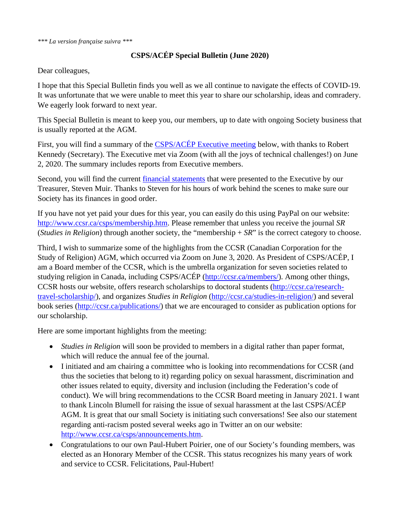*\*\*\* La version française suivra \*\*\**

## **CSPS/ACÉP Special Bulletin (June 2020)**

Dear colleagues,

I hope that this Special Bulletin finds you well as we all continue to navigate the effects of COVID-19. It was unfortunate that we were unable to meet this year to share our scholarship, ideas and comradery. We eagerly look forward to next year.

This Special Bulletin is meant to keep you, our members, up to date with ongoing Society business that is usually reported at the AGM.

First, you will find a summary of the [CSPS/ACÉP Executive meeting](#page-2-0) below, with thanks to Robert Kennedy (Secretary). The Executive met via Zoom (with all the joys of technical challenges!) on June 2, 2020. The summary includes reports from Executive members.

Second, you will find the current *financial statements* that were presented to the Executive by our Treasurer, Steven Muir. Thanks to Steven for his hours of work behind the scenes to make sure our Society has its finances in good order.

If you have not yet paid your dues for this year, you can easily do this using PayPal on our website: [http://www.ccsr.ca/csps/membership.htm.](http://www.ccsr.ca/csps/membership.htm) Please remember that unless you receive the journal *SR* (*Studies in Religion*) through another society, the "membership + *SR*" is the correct category to choose.

Third, I wish to summarize some of the highlights from the CCSR (Canadian Corporation for the Study of Religion) AGM, which occurred via Zoom on June 3, 2020. As President of CSPS/ACÉP, I am a Board member of the CCSR, which is the umbrella organization for seven societies related to studying religion in Canada, including CSPS/ACÉP [\(http://ccsr.ca/members/\)](http://ccsr.ca/members/). Among other things, CCSR hosts our website, offers research scholarships to doctoral students [\(http://ccsr.ca/research](http://ccsr.ca/research-travel-scholarship/)[travel-scholarship/\)](http://ccsr.ca/research-travel-scholarship/), and organizes *Studies in Religion* [\(http://ccsr.ca/studies-in-religion/\)](http://ccsr.ca/studies-in-religion/) and several book series [\(http://ccsr.ca/publications/\)](http://ccsr.ca/publications/) that we are encouraged to consider as publication options for our scholarship.

Here are some important highlights from the meeting:

- *Studies in Religion* will soon be provided to members in a digital rather than paper format, which will reduce the annual fee of the journal.
- I initiated and am chairing a committee who is looking into recommendations for CCSR (and thus the societies that belong to it) regarding policy on sexual harassment, discrimination and other issues related to equity, diversity and inclusion (including the Federation's code of conduct). We will bring recommendations to the CCSR Board meeting in January 2021. I want to thank Lincoln Blumell for raising the issue of sexual harassment at the last CSPS/ACÉP AGM. It is great that our small Society is initiating such conversations! See also our statement regarding anti-racism posted several weeks ago in Twitter an on our website: [http://www.ccsr.ca/csps/announcements.htm.](http://www.ccsr.ca/csps/announcements.htm)
- Congratulations to our own Paul-Hubert Poirier, one of our Society's founding members, was elected as an Honorary Member of the CCSR. This status recognizes his many years of work and service to CCSR. Felicitations, Paul-Hubert!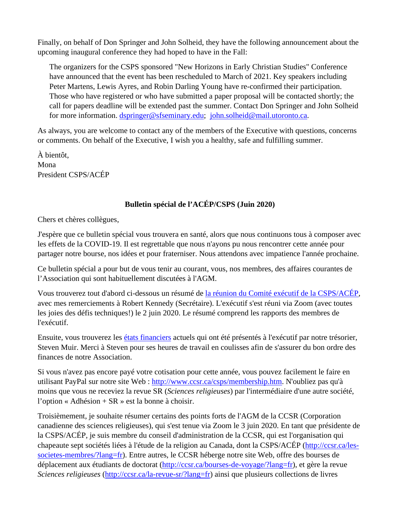Finally, on behalf of Don Springer and John Solheid, they have the following announcement about the upcoming inaugural conference they had hoped to have in the Fall:

The organizers for the CSPS sponsored "New Horizons in Early Christian Studies" Conference have announced that the event has been rescheduled to March of 2021. Key speakers including Peter Martens, Lewis Ayres, and Robin Darling Young have re-confirmed their participation. Those who have registered or who have submitted a paper proposal will be contacted shortly; the call for papers deadline will be extended past the summer. Contact Don Springer and John Solheid for more information. [dspringer@sfseminary.edu;](mailto:dspringer@sfseminary.edu) [john.solheid@mail.utoronto.ca.](mailto:john.solheid@mail.utoronto.ca)

As always, you are welcome to contact any of the members of the Executive with questions, concerns or comments. On behalf of the Executive, I wish you a healthy, safe and fulfilling summer.

À bientôt, Mona President CSPS/ACÉP

# **Bulletin spécial de l'ACÉP/CSPS (Juin 2020)**

Chers et chères collègues,

J'espère que ce bulletin spécial vous trouvera en santé, alors que nous continuons tous à composer avec les effets de la COVID-19. Il est regrettable que nous n'ayons pu nous rencontrer cette année pour partager notre bourse, nos idées et pour fraterniser. Nous attendons avec impatience l'année prochaine.

Ce bulletin spécial a pour but de vous tenir au courant, vous, nos membres, des affaires courantes de l'Association qui sont habituellement discutées à l'AGM.

Vous trouverez tout d'abord ci-dessous un résumé de [la réunion du Comité exécutif de la CSPS/ACÉP,](#page-2-0) avec mes remerciements à Robert Kennedy (Secrétaire). L'exécutif s'est réuni via Zoom (avec toutes les joies des défis techniques!) le 2 juin 2020. Le résumé comprend les rapports des membres de l'exécutif.

Ensuite, vous trouverez les [états financiers](#page-5-0) actuels qui ont été présentés à l'exécutif par notre trésorier, Steven Muir. Merci à Steven pour ses heures de travail en coulisses afin de s'assurer du bon ordre des finances de notre Association.

Si vous n'avez pas encore payé votre cotisation pour cette année, vous pouvez facilement le faire en utilisant PayPal sur notre site Web : [http://www.ccsr.ca/csps/membership.htm.](http://www.ccsr.ca/csps/membership.htm) N'oubliez pas qu'à moins que vous ne receviez la revue SR (*Sciences religieuses*) par l'intermédiaire d'une autre société, l'option « Adhésion + SR » est la bonne à choisir.

Troisièmement, je souhaite résumer certains des points forts de l'AGM de la CCSR (Corporation canadienne des sciences religieuses), qui s'est tenue via Zoom le 3 juin 2020. En tant que présidente de la CSPS/ACÉP, je suis membre du conseil d'administration de la CCSR, qui est l'organisation qui chapeaute sept sociétés liées à l'étude de la religion au Canada, dont la CSPS/ACÉP [\(http://ccsr.ca/les](http://ccsr.ca/les-societes-membres/?lang=fr)[societes-membres/?lang=fr\)](http://ccsr.ca/les-societes-membres/?lang=fr). Entre autres, le CCSR héberge notre site Web, offre des bourses de déplacement aux étudiants de doctorat [\(http://ccsr.ca/bourses-de-voyage/?lang=fr\)](http://ccsr.ca/bourses-de-voyage/?lang=fr), et gère la revue *Sciences religieuses* [\(http://ccsr.ca/la-revue-sr/?lang=fr\)](http://ccsr.ca/la-revue-sr/?lang=fr) ainsi que plusieurs collections de livres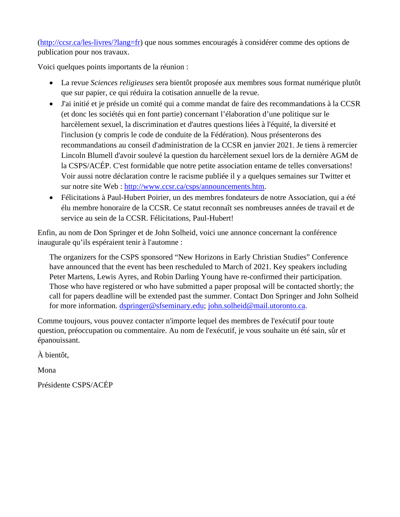[\(http://ccsr.ca/les-livres/?lang=fr\)](http://ccsr.ca/les-livres/?lang=fr) que nous sommes encouragés à considérer comme des options de publication pour nos travaux.

Voici quelques points importants de la réunion :

- La revue *Sciences religieuses* sera bientôt proposée aux membres sous format numérique plutôt que sur papier, ce qui réduira la cotisation annuelle de la revue.
- J'ai initié et je préside un comité qui a comme mandat de faire des recommandations à la CCSR (et donc les sociétés qui en font partie) concernant l'élaboration d'une politique sur le harcèlement sexuel, la discrimination et d'autres questions liées à l'équité, la diversité et l'inclusion (y compris le code de conduite de la Fédération). Nous présenterons des recommandations au conseil d'administration de la CCSR en janvier 2021. Je tiens à remercier Lincoln Blumell d'avoir soulevé la question du harcèlement sexuel lors de la dernière AGM de la CSPS/ACÉP. C'est formidable que notre petite association entame de telles conversations! Voir aussi notre déclaration contre le racisme publiée il y a quelques semaines sur Twitter et sur notre site Web : [http://www.ccsr.ca/csps/announcements.htm.](http://www.ccsr.ca/csps/announcements.htm)
- Félicitations à Paul-Hubert Poirier, un des membres fondateurs de notre Association, qui a été élu membre honoraire de la CCSR. Ce statut reconnaît ses nombreuses années de travail et de service au sein de la CCSR. Félicitations, Paul-Hubert!

Enfin, au nom de Don Springer et de John Solheid, voici une annonce concernant la conférence inaugurale qu'ils espéraient tenir à l'automne :

The organizers for the CSPS sponsored "New Horizons in Early Christian Studies" Conference have announced that the event has been rescheduled to March of 2021. Key speakers including Peter Martens, Lewis Ayres, and Robin Darling Young have re-confirmed their participation. Those who have registered or who have submitted a paper proposal will be contacted shortly; the call for papers deadline will be extended past the summer. Contact Don Springer and John Solheid for more information. [dspringer@sfseminary.edu;](mailto:dspringer@sfseminary.edu) [john.solheid@mail.utoronto.ca.](mailto:john.solheid@mail.utoronto.ca)

Comme toujours, vous pouvez contacter n'importe lequel des membres de l'exécutif pour toute question, préoccupation ou commentaire. Au nom de l'exécutif, je vous souhaite un été sain, sûr et épanouissant.

À bientôt,

Mona

<span id="page-2-0"></span>Présidente CSPS/ACÉP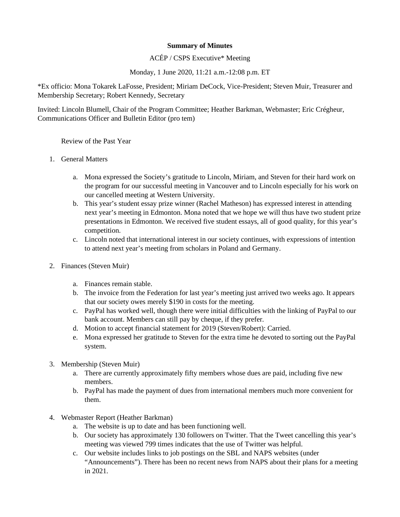#### **Summary of Minutes**

#### ACÉP / CSPS Executive\* Meeting

#### Monday, 1 June 2020, 11:21 a.m.-12:08 p.m. ET

\*Ex officio: Mona Tokarek LaFosse, President; Miriam DeCock, Vice-President; Steven Muir, Treasurer and Membership Secretary; Robert Kennedy, Secretary

Invited: Lincoln Blumell, Chair of the Program Committee; Heather Barkman, Webmaster; Eric Crégheur, Communications Officer and Bulletin Editor (pro tem)

Review of the Past Year

- 1. General Matters
	- a. Mona expressed the Society's gratitude to Lincoln, Miriam, and Steven for their hard work on the program for our successful meeting in Vancouver and to Lincoln especially for his work on our cancelled meeting at Western University.
	- b. This year's student essay prize winner (Rachel Matheson) has expressed interest in attending next year's meeting in Edmonton. Mona noted that we hope we will thus have two student prize presentations in Edmonton. We received five student essays, all of good quality, for this year's competition.
	- c. Lincoln noted that international interest in our society continues, with expressions of intention to attend next year's meeting from scholars in Poland and Germany.
- 2. Finances (Steven Muir)
	- a. Finances remain stable.
	- b. The invoice from the Federation for last year's meeting just arrived two weeks ago. It appears that our society owes merely \$190 in costs for the meeting.
	- c. PayPal has worked well, though there were initial difficulties with the linking of PayPal to our bank account. Members can still pay by cheque, if they prefer.
	- d. Motion to accept financial statement for 2019 (Steven/Robert): Carried.
	- e. Mona expressed her gratitude to Steven for the extra time he devoted to sorting out the PayPal system.
- 3. Membership (Steven Muir)
	- a. There are currently approximately fifty members whose dues are paid, including five new members.
	- b. PayPal has made the payment of dues from international members much more convenient for them.
- 4. Webmaster Report (Heather Barkman)
	- a. The website is up to date and has been functioning well.
	- b. Our society has approximately 130 followers on Twitter. That the Tweet cancelling this year's meeting was viewed 799 times indicates that the use of Twitter was helpful.
	- c. Our website includes links to job postings on the SBL and NAPS websites (under "Announcements"). There has been no recent news from NAPS about their plans for a meeting in 2021.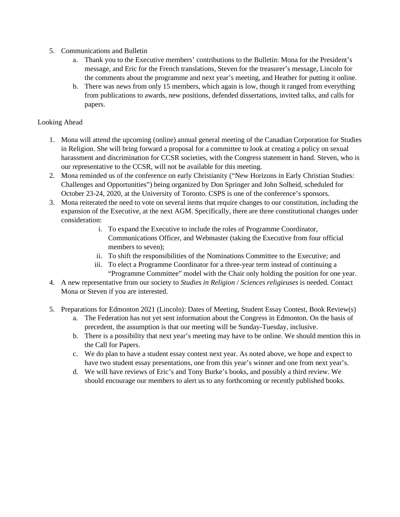- 5. Communications and Bulletin
	- a. Thank you to the Executive members' contributions to the Bulletin: Mona for the President's message, and Eric for the French translations, Steven for the treasurer's message, Lincoln for the comments about the programme and next year's meeting, and Heather for putting it online.
	- b. There was news from only 15 members, which again is low, though it ranged from everything from publications to awards, new positions, defended dissertations, invited talks, and calls for papers.

### Looking Ahead

- 1. Mona will attend the upcoming (online) annual general meeting of the Canadian Corporation for Studies in Religion. She will bring forward a proposal for a committee to look at creating a policy on sexual harassment and discrimination for CCSR societies, with the Congress statement in hand. Steven, who is our representative to the CCSR, will not be available for this meeting.
- 2. Mona reminded us of the conference on early Christianity ("New Horizons in Early Christian Studies: Challenges and Opportunities") being organized by Don Springer and John Solheid, scheduled for October 23-24, 2020, at the University of Toronto. CSPS is one of the conference's sponsors.
- 3. Mona reiterated the need to vote on several items that require changes to our constitution, including the expansion of the Executive, at the next AGM. Specifically, there are three constitutional changes under consideration:
	- i. To expand the Executive to include the roles of Programme Coordinator, Communications Officer, and Webmaster (taking the Executive from four official members to seven);
	- ii. To shift the responsibilities of the Nominations Committee to the Executive; and
	- iii. To elect a Programme Coordinator for a three-year term instead of continuing a "Programme Committee" model with the Chair only holding the position for one year.
- 4. A new representative from our society to *Studies in Religion* / *Sciences religieuses* is needed. Contact Mona or Steven if you are interested.
- <span id="page-4-0"></span>5. Preparations for Edmonton 2021 (Lincoln): Dates of Meeting, Student Essay Contest, Book Review(s)
	- a. The Federation has not yet sent information about the Congress in Edmonton. On the basis of precedent, the assumption is that our meeting will be Sunday-Tuesday, inclusive.
	- b. There is a possibility that next year's meeting may have to be online. We should mention this in the Call for Papers.
	- c. We do plan to have a student essay contest next year. As noted above, we hope and expect to have two student essay presentations, one from this year's winner and one from next year's.
	- d. We will have reviews of Eric's and Tony Burke's books, and possibly a third review. We should encourage our members to alert us to any forthcoming or recently published books.